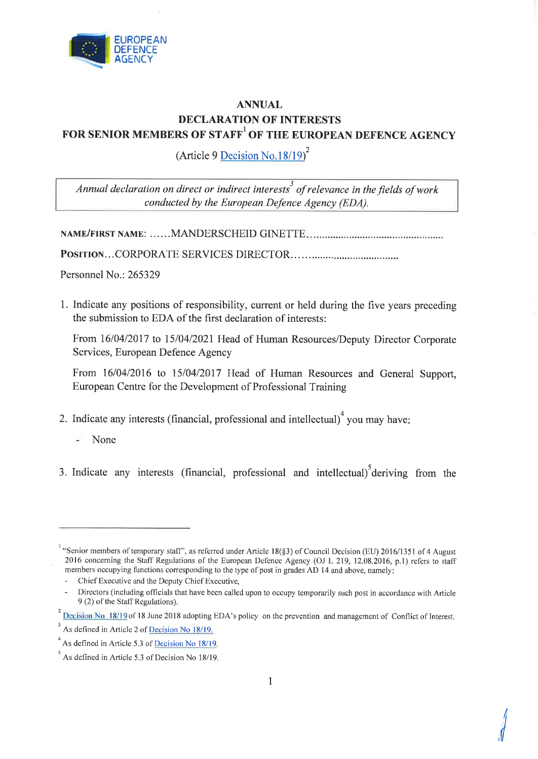

## ANNUAL DECLARATION OF INTERESTS FOR SENIOR MEMBERS OF STAFF' OF THE EUROPEAN DEFENCE AGENCY

(Article 9 Decision No.18/19)<sup>2</sup>

Annual declaration on direct or indirect interests<sup>3</sup> of relevance in the fields of work conducted by the European Defence Agency (EDA).

NAME/FIRST NAME: ......MANDERSCHEID GINETTE

PosrrroN.. . CORPORATE SERVICES DIRECTOR.

Personnel No.: 265329

1. Indicate any positions of responsibility, current or held during the five years preceding the submission to EDA of the first declaration of interests:

From 16/04/2017 to 15/04/2021 Head of Human Resources/Deputy Director Corporate Services, European Defence Agency

From 16/04/2016 to 15/04/2017 Head of Human Resources and General Support, European Centre for the Development of Professional Training

- 2. Indicate any interests (financial, professional and intellectual) $\alpha$  you may have:
	- None
- 3. Indicate any interests (financial, professional and intellectual) deriving from the

 $\sqrt{\frac{1}{2}}$ 

<sup>&</sup>lt;sup>1</sup> "Senior members of temporary staff", as referred under Article 18(§3) of Council Decision (EU) 2016/1351 of 4 August 2016 concerning the Staff Regulations of the European Defence Agency (OJ L 219, 12.08.2016, p.1) refers to staff members occupying functions corresponding to the type of post in grades AD l4 and above, namely:

Chief Executive and the Deputy Chief Executive,

<sup>-</sup> Directors (including officials that have been called upon to occupy temporarily such post in accordance with Article 9 (2) of the Staff Regulations).

Decision No. 18/19 of 18 June 2018 adopting EDA's policy on the prevention and management of Conflict of Interest.

 $3$  As defined in Article 2 of Decision No 18/19.

 $A<sup>4</sup>$  As defined in Article 5.3 of Decision No 18/19.

 $<sup>5</sup>$  As defined in Article 5.3 of Decision No 18/19.</sup>